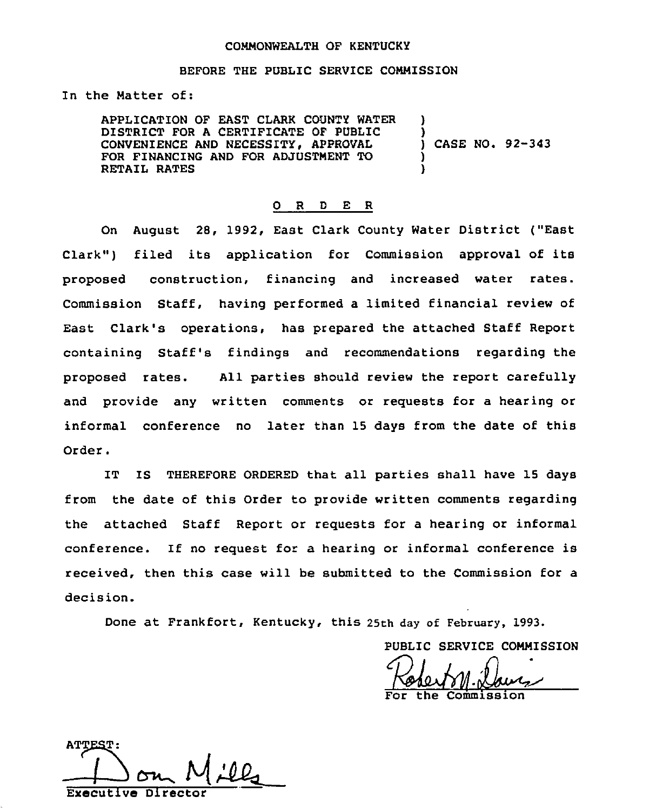#### COMMONWEALTH OF KENTUCKY

## BEFORE THE PUBLIC SERVICE CONNISSION

In the Natter of:

APPLICATION OF EAST CLARK COUNTY WATER DISTRICT FOR A CERTIFICATE OF PUBLIC CONVENIENCE AND NECESSITY, APPROVAL FOR FINANCING AND FOR ADJUSTNENT TO RETAIL RATES ) ) ) CASE NO. 92-343 ) )

#### 0 R <sup>D</sup> E R

On August 28, 1992, East Clark County Water District ("East Clark") filed its application for Commission approval of its proposed construction, financing and increased water rates. Commission Staff, having performed a limited financial review of East Clark's operations, has prepared the attached Staff Report containing Staff's findings and recommendations regarding the proposed rates. All parties should review the report carefully and provide any written comments or requests for a hearing or informal conference no later than 15 days from the date of this Order.

IT IS THEREFORE ORDERED that all parties shall have 15 days from the date of this Order to provide written comments regarding the attached Staff Report or requests for a hearing or informal conference. If no request for a hearing or informal conference is received, then this case will he submitted to the Commission for a decision.

Done at Frankfort, Kentucky, this 25th day of February, 1993.

PUBLIC SERVICE COMMISSION

the Commission

 $\rightarrow$ Executive Directo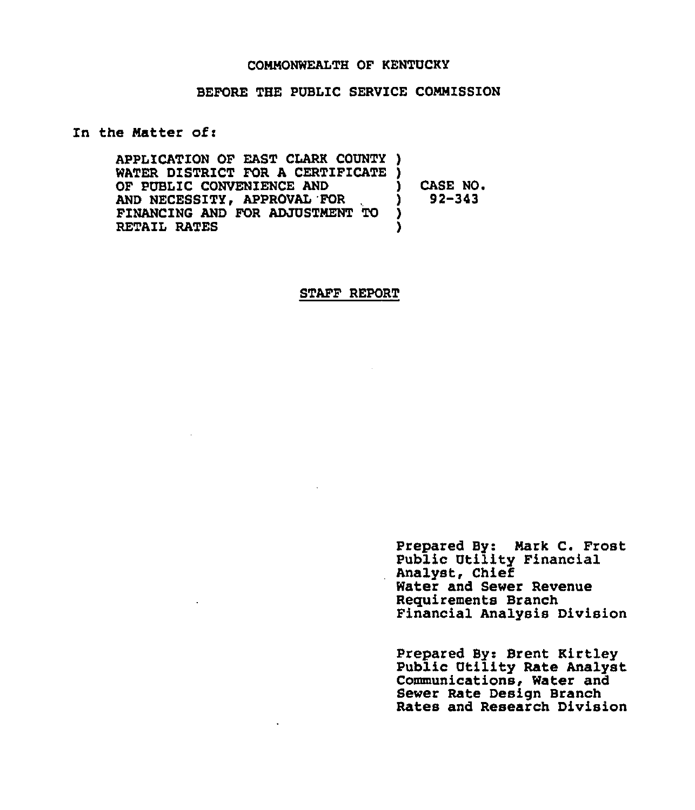### COMMONWEALTH OF KENTUCKY

### BEFORE THE PUBLIC SERVICE COMMISSION

### In the Matter of:

APPLICATION OF EAST CLARK COUNTY ) WATER DISTRICT FOR A CERTIFICATE ) OF PUBLIC CONVENIENCE AND AND NECESSITY, APPROVAL 'FOR FINANCING AND FOR ADJUSTMENT TO RETAIL RATES ) CASE NO.<br>1 92-343 ) 92-343 ) )

#### STAFF REPORT

Prepared By: Mark C. Frost Public Utility Financial Analyst, Chief Water and Sewer Revenue Requirements Branch Financial Analysis Division

Prepared By: Brent Kirtley Public Utility Rate Analyst Communications, Water and Sewer Rate Design Branch Rates and Research Division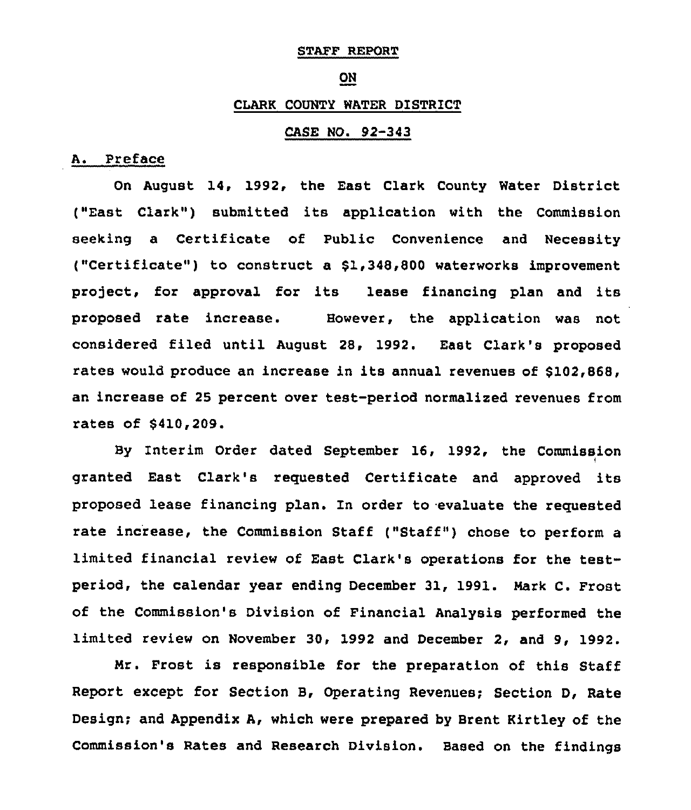# STAFF REPORT

#### ON

#### CLARK COUNTY WATER DISTRICT

## CASE NO. 92-343

# A. Preface

On August 14, 1992, the East Clark County Water District ("East Clark") submitted its application with the Commission seeking a Certificate of Public Convenience and Necessity ("Certificate") to construct a \$1,348,800 waterworks improvement project, for approval for its lease financing plan and its proposed rate increase. However, the application was not considered filed until August 28, 1992. East Clark's proposed rates would produce an increase in its annual revenues of \$102,868, an increase of 25 percent over test-period normalized revenues from rates of \$410,209.

By Interim Order dated September 16, 1992, the Commission granted East Clark's requested Certificate and approved its proposed lease financing plan. In order to evaluate the requested rate increase, the Commission Staff ("Staff") chose to perform a limited financial review of East Clark's operations for the testperiod, the calendar year ending December 31, 1991. Mark C. Frost of the Commission's Division of Financial Analysis performed the limited review on November 30, 1992 and December 2, and 9, 1992.

Mr. Frost is responsible for the preparation of this Staff Report except for Section B, Operating Revenues; Section D, Rate Design; and Appendix A, which were prepared by Brent Kirtley of the Commission's Rates and Research Division. Based on the findings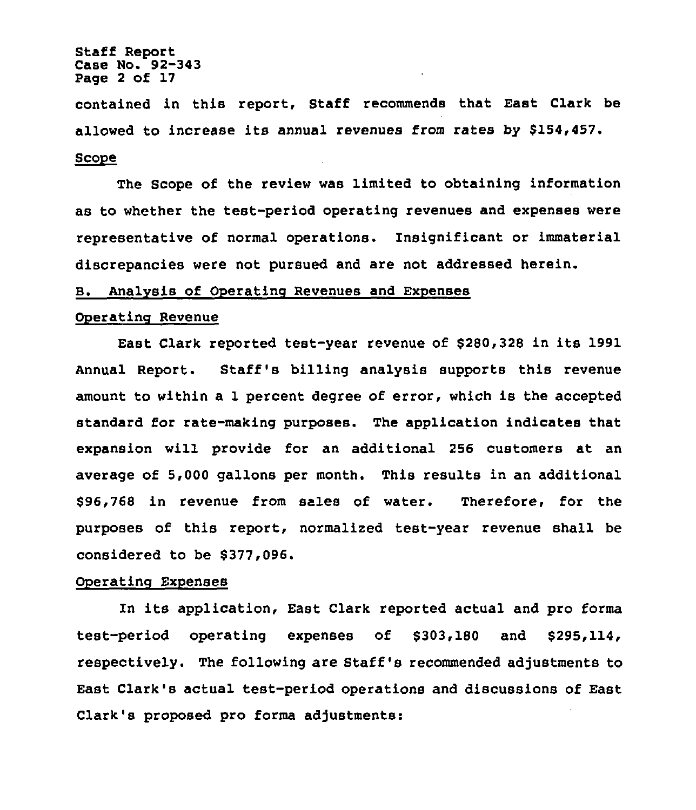## Staff Report Case No. 92-343 Page <sup>2</sup> of 17

contained in this report, Staff recommends that East Clark be allowed to increase its annual revenues from rates by \$154,457. Scope

The Scope of the review was limited to obtaining information as to whether the test-period operating revenues and expenses were representative of normal operations. Insignificant or immaterial discrepancies were not pursued and are not addressed herein.

## B. Analysis of Operating Revenues and Expenses

#### OPerating Revenue

East Clark reported test-year revenue of \$280,328 in its 1991 Annual Report. Staff's billing analysis supports this revenue amount to within a 1 percent degree of error, which is the accepted standard for rate-making purposes. The application indicates that expansion will provide for an additional 256 customers at an average of 5,000 gallons per month. This results in an additional \$96,768 in revenue from sales of water. Therefore, for the purposes of this report, normalized test-year revenue shall be considered to be \$377,096.

#### Operating Expenses

In its application, East Clark reported actual and pro forms test-period operating expenses of \$303,180 and \$295,114, respectively. The following are Staff's recommended adjustments to East Clark's actual test-period operations and discussions of East Clark's proposed pro forms adjustments: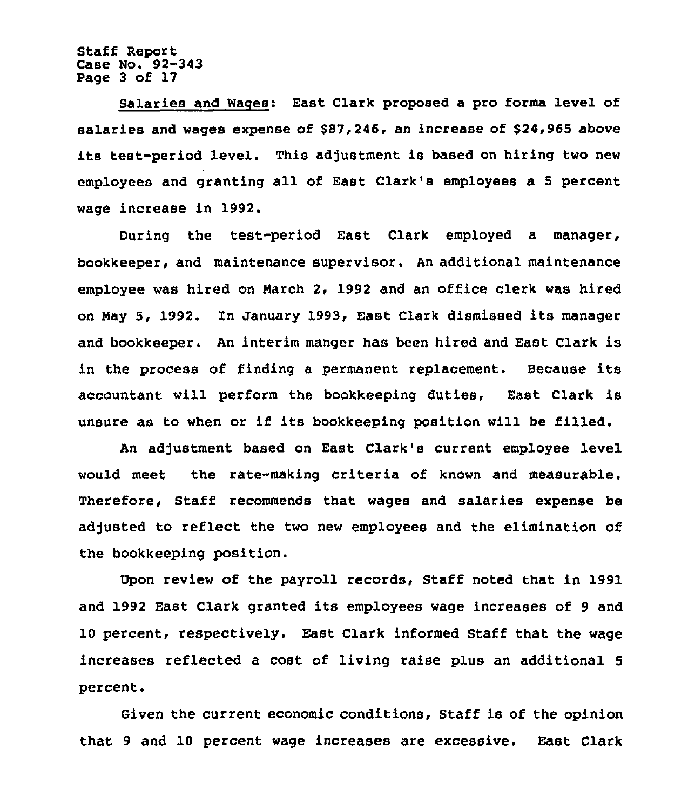Staff Report Case No. 92-343 Page 3 of 17

Salaries and Wages: East Clark proposed a pro forms level of salaries and wages expense of \$87,246, an increase of \$24,965 above its test-period level. This adjustment is based on hiring two new employees and granting all of East Clark's employees a <sup>5</sup> percent wage increase in 1992.

During the test-period East Clark employed a manager, bookkeeper, and maintenance supervisor. An additional maintenance employee was hired on Harch 2, 1992 and an office clerk was hired on May 5, 1992. In January 1993, East Clark dismissed its manager and bookkeeper. An interim manger has been hired and East Clark is in the process of finding <sup>a</sup> permanent replacement. Because its accountant will perform the bookkeeping duties, East Clark is unsure as to when or if its bookkeeping position will be filled.

An adjustment based on East Clark's current employee level would meet the rate-making criteria of known and measurable. Therefore, Staff recommends that wages and salaries expense be adjusted to reflect the two new employees and the elimination of the bookkeeping position.

upon review of the payroll records, Staff noted that in 1991 and 1992 East Clark granted its employees wage increases of <sup>9</sup> and 10 percent, respectively. East Clark informed Staff that the wage increases reflected a cost of living raise plus an additional 5 percent.

Given the current economic conditions, Staff is of the opinion that 9 and 10 percent wage increases are excessive. East Clark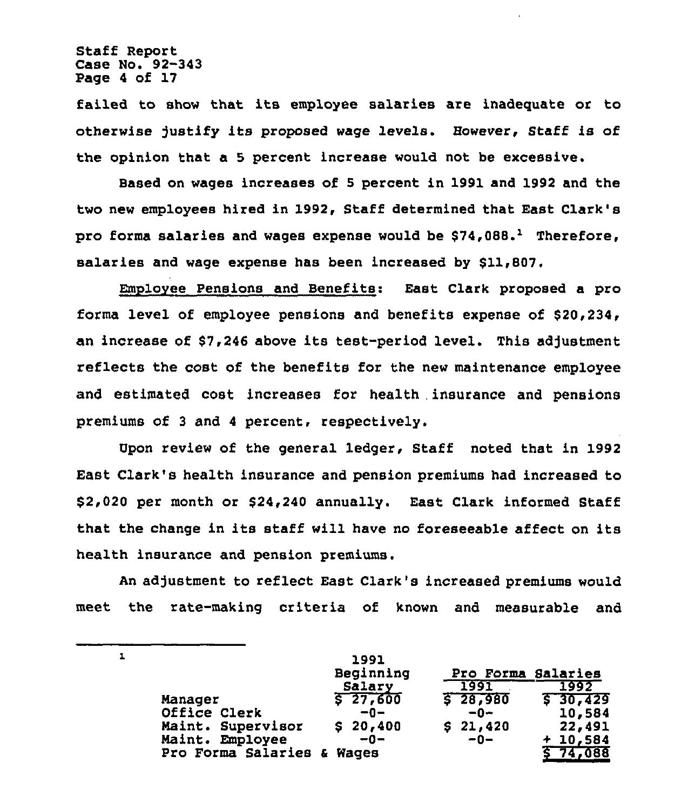Staff Report Case No. 92-343 Page 4 of 17

 $\mathbf{I}$ 

failed to show that its employee salaries are inadequate or to otherwise )ustify its proposed wage levels. However, Staff is of the opinion that a 5 percent increase would not be excessive.

Based on wages increases of 5 percent in 1991 and 1992 and the two new employees hired in 1992, Staff determined that East Clark's pro forma salaries and wages expense would be  $$74,088.^1$  Therefore, salaries and wage expense has been increased by \$11,807.

Employee Pensions and Benefits: East Clark proposed a pro forms level of employee pensions and benefits expense of \$20,234, an increase of \$7,246 above its test-period level. This adjustment reflects the cost of the benefits for the new maintenance employee and estimated cost increases for health .insurance and pensions premiums of 3 and 4 percent, respectively.

Vpon review of the general ledger, Staff noted that in 1992 East Clark's health insurance and pension premiums had increased to \$2,020 per month or \$24,240 annually. East Clark informed, Staff that the change in its staff will have no foreseeable affect on its health insurance and pension premiums.

An adjustment to reflect East Clark's increased premiums would meet the rate-making criteria of known and measurable and

|                            | 1991<br>Beginning | Pro Forma Salaries |               |
|----------------------------|-------------------|--------------------|---------------|
|                            | Salary            | 1991               | 1992          |
| Manager                    | 527,600           | $5 - 28,980$       | $5 - 30, 429$ |
| Office Clerk               | $-0-$             | $-0-$              | 10,584        |
| Maint. Supervisor          | \$20,400          | \$21,420           | 22,491        |
| Maint. Employee            | $-0-$             | $-0-$              | $+10,584$     |
| Pro Forma Salaries & Wages |                   |                    | S 74,088      |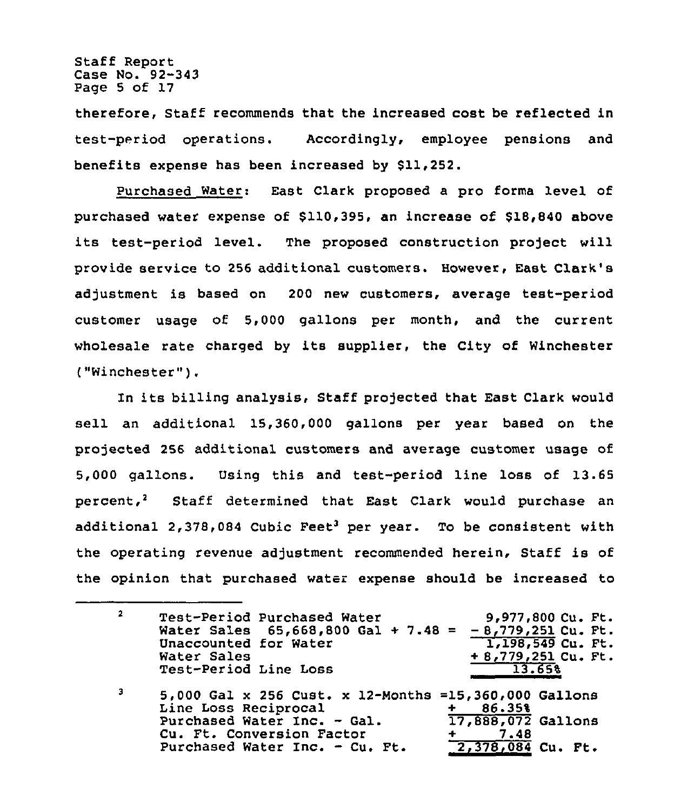Staff Report Case No. 92-343 Page 5 of 17

therefore, Staff recommends that the increased cost be reflected in test-period operations. Accordingly, employee pensions and benefits expense has been increased by \$11,252.

Purchased Water: East Clark proposed a pro forma level of purchased water expense of \$110,395, an increase of \$18,840 above its test-period level. The proposed construction project will provide service to 256 additional customers. However, East Clark's adjustment is based on 200 new customers, average test-period customer usage of 5,000 gallons per month, and the current wholesale rate charged by its supplier, the City of Winchester ("Winchester" ).

In its billing analysis, Staff projected that East Clark would sell an additional 15,360,000 gallons per year based on the projected 256 additional customers and average customer usage of 5,000 gallons. Using this and test-period line loss of 13.65 percent,<sup>2</sup> Staff determined that East Clark would purchase an additional 2,378,084 Cubic Feet<sup>3</sup> per year. To be consistent with the operating revenue adjustment recommended herein, Staff is of the opinion that purchased water expense should be increased to

 $2<sup>1</sup>$ Test-Period Purchased Water 9,977,800 Cu. Ft. Mater Sales 65,668,800 Gal + 7.48 =  $-8,779,251$  Cu. Ft. 1,198,549 Cu. Ft. Unaccounted for Water Water Sales <sup>+</sup> 8,779,251 Cu. Ft. Test-Period Line Loss 13.65%

5,000 Gal x 256 Cust. x 12-Months =15,360,000 Gallons  $\overline{\mathbf{3}}$ Line Loss Reciprocal + 86.35%  $\frac{17,888,072}{1,48}$  Gallons Purchased Water Inc. - Gal. Cu. Ft. Conversion Factor <mark>2,378,084</mark> Cu. Ft. Purchased Water Inc. - Cu. Ft.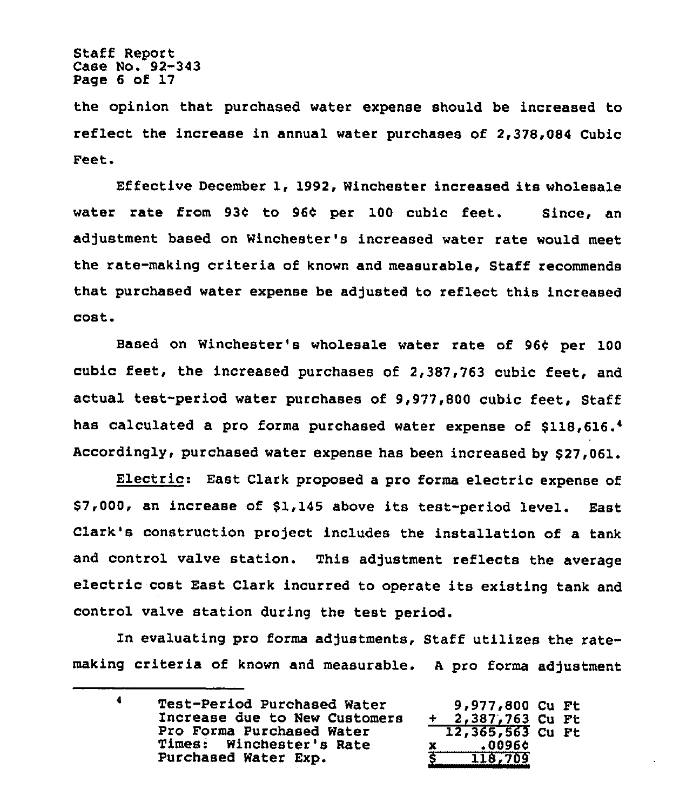the opinion that purchased water expense should be increased to reflect the increase in annual water purchases of 2,378,084 Cubic Feet.

Effective December 1, 1992, Winchester increased its wholesale water rate from 93¢ to 96¢ per 100 cubic feet. Since, an adjustment based on Winchester's increased water rate would meet the rate-making criteria of known and measurable, Staff recommends that purchased water expense be adjusted to reflect this increased cost.

Based on Winchester's wholesale water rate of 96¢ per 100 cubic feet, the increased purchases of 2,387,763 cubic feet, and actual test-period water purchases of 9,977,800 cubic feet, Staff has calculated a pro forma purchased water expense of \$118,616.<sup>4</sup> Accordingly, purchased water expense has been increased by \$27,061.

Electric: East Clark proposed <sup>a</sup> pro forms electric expense of \$7,000, an increase of \$1,145 above its test-period level. East Clark's construction project includes the installation of a tank and control valve station. This adjustment reflects the average electric cost East Clark incurred to operate its existing tank and control valve station during the test period.

In evaluating pro forma adjustments, Staff utilizes the ratemaking criteria of known and measurable. A pro forma adjustment

 $\blacktriangleleft$ Test-Period Purchased Water 9,977 800 CU Ft Increase due to New Customers + 2,387,763 Cu Ft Pro Forms Purchased Water 12,365 563 Cu Ft Times: Winchester's Rate x .00960 Purchased Water Exp. 8 118,709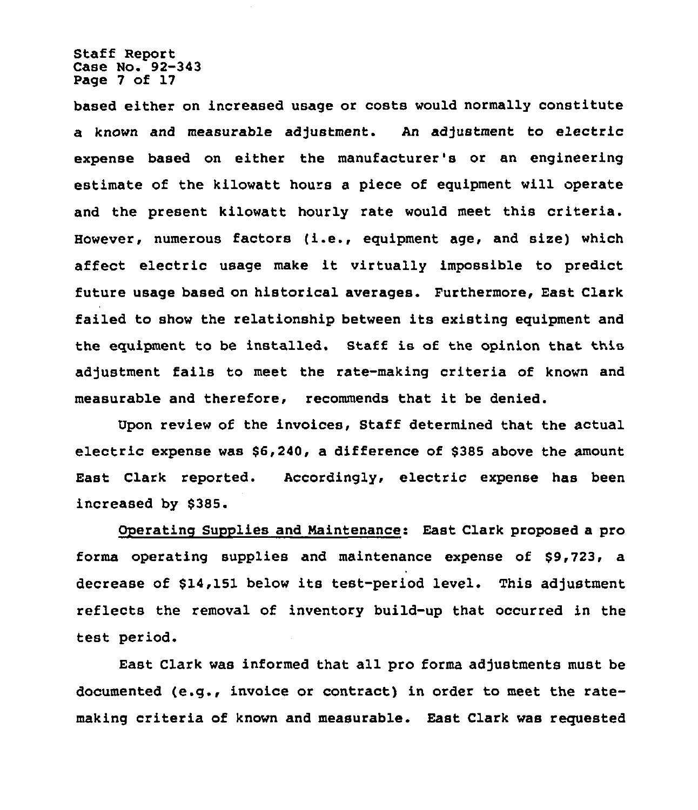Staff Report Case No. 92-343 Page 7 of 17

based either on increased usage or costs would normally constitute a known and measurable adjustment. An adjustment to electric expense based on either the manufacturer's or an engineering estimate of the kilowatt hours a piece of equipment will operate and the present kilowatt hourly rate would meet this criteria. Eowever, numerous factors (i.e., equipment age, and size) which affect electric usage make it virtually impossible to predict future usage based on historical averages. Furthermore, East Clark failed to show the relationship between its existing equipment and the equipment to be installed. Staff is of the opinion that this adjustment fails to meet the rate-making criteria of known and measurable and therefore, recommends that it be denied.

Upon review of the invoices, Staff determined that the actual electric expense was \$6,240, a difference of \$385 above the amount East Clark reported. Accordingly, electric expense has been increased by \$385.

Operatino Supplies and Maintenance: East Clark proposed a pro forms operating supplies and maintenance expense of \$9,723, a decrease of \$14,151 below its test-period level. This adjustment reflects the removal of inventory build-up that occurred in the test period.

East Clark was informed that all pro forms adjustments must be documented (e.g., invoice or contract) in order to meet the ratemaking criteria of known and measurable. East Clark was requested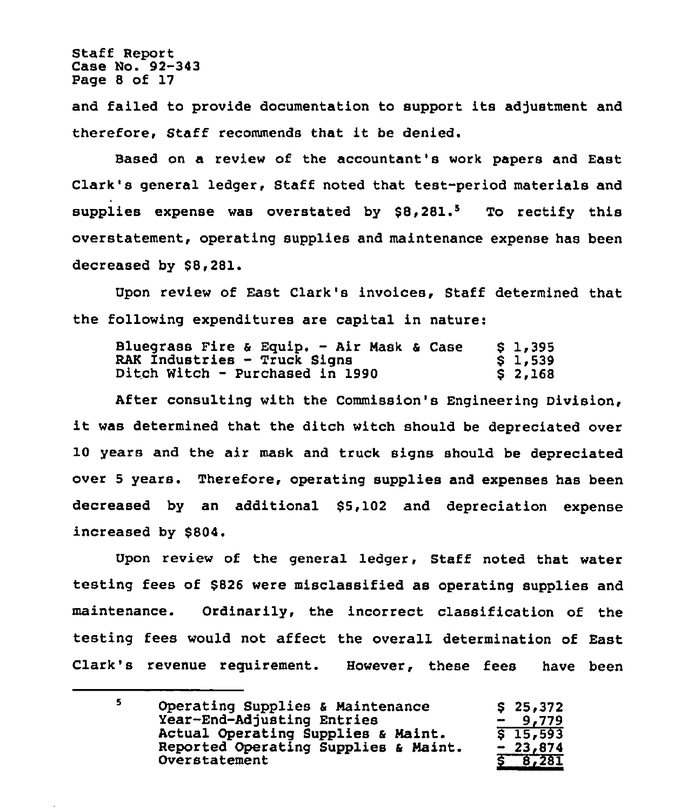Staff Report Case No. 92-343 Page 8 of 17

and failed to provide documentation to support its adjustment and therefore, Staff recommends that it be denied.

Based on a review of the accountant's work papers and East Clark's general ledger, Staff noted that test-period materials and supplies expense was overstated by  $$8,281.^5$  To rectify this overstatement, operating supplies and maintenance expense has been decreased by \$8,281.

Upon review of East Clark's invoices, Staff determined that the following expenditures are capital in nature:

|                                     | Bluegrass Fire & Equip. - Air Mask & Case | \$1,395 |
|-------------------------------------|-------------------------------------------|---------|
| <b>RAK Industries - Truck Signs</b> |                                           | \$1,539 |
| Ditch Witch - Purchased in 1990     |                                           | \$2,168 |

After consulting with the Commission's Engineering Division, it was determined that the ditch witch should be depreciated over 10 years and the air mask and truck signs should be depreciated over 5 years. Therefore, operating supplies and expenses has been decreased by an additional \$5,102 and depreciation expense increased by \$804.

Upon review of the general ledger, Staff noted that water testing fees of \$826 were misclassified as operating supplies and maintenance. Ordinarily, the incorrect classification of the testing fees would not affect the overall determination of East Clark's revenue requirement. However, these fees have been

| Operating Supplies & Maintenance<br>Year-End-Adjusting Entries | \$25,372<br>$-9.779$ |
|----------------------------------------------------------------|----------------------|
| Actual Operating Supplies & Maint.                             | $5\,15,593$          |
| Reported Operating Supplies & Maint.<br>Overstatement          | $-23,874$<br>8,281   |
|                                                                |                      |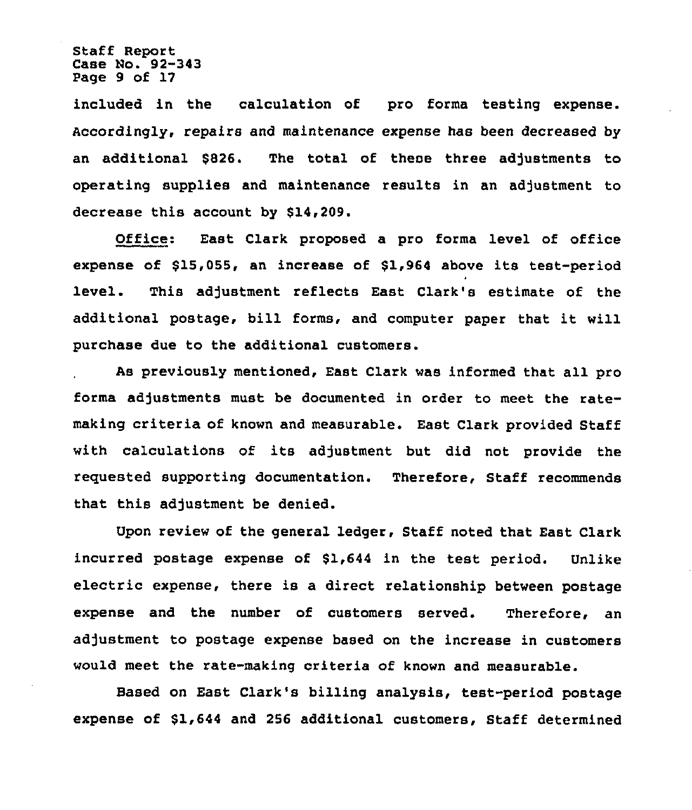Staff Report Case No. 92-343 Page 9 of 17

included in the calculation of pro forma testing expense. Accordingly, repairs and maintenance expense has been decreased by an additional \$826. The total of these three adjustments to operating supplies and maintenance results in an adjustment to decrease this account by \$14,209.

Office: East Clark proposed a pro forma level of office expense of  $$15,055$ , an increase of  $$1,964$  above its test-period level. This adjustment reflects East Clark's estimate of the additional postage, bill forms, and computer paper that it will purchase due to the additional customers.

As previously mentioned, East Clark was informed that all pro forma adjustments must be documented in order to meet the ratemaking criteria of known and measurable. East Clark provided Staff with calculations of its adjustment but did not provide the requested supporting documentation. Therefore, Staff recommends that this adjustment be denied.

Upon review of the general ledger, Staff noted that East Clark incurred postage expense of \$1,644 in the test period. Unlike electric expense, there is a direct relationship between postage expense and the number of customers served. Therefore, an adjustment to postage expense based on the increase in customers would meet the rate-making criteria of known and measurable.

Based on East Clark's billing analysis, test-period postage expense of \$1,644 and 256 additional customers, Staff determined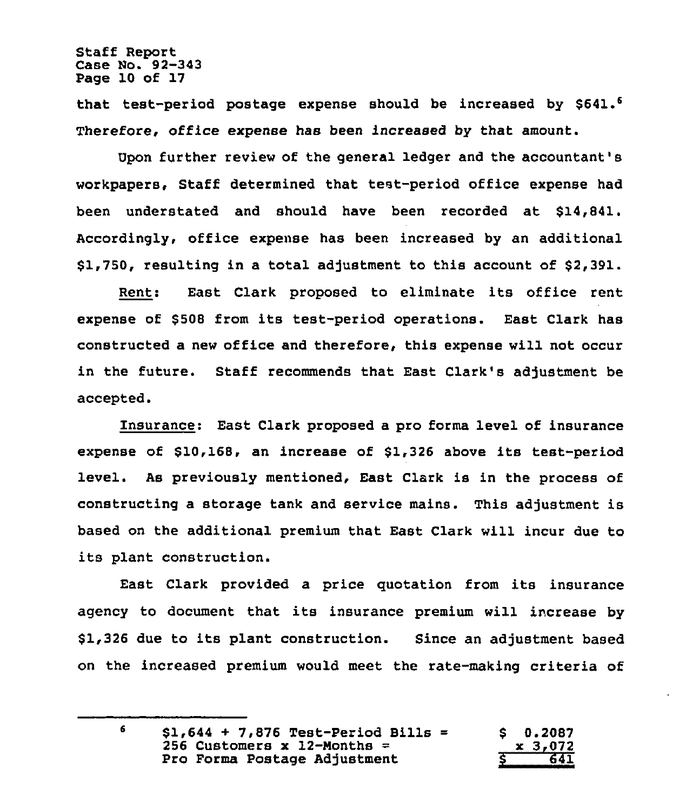Staff Report Case No. 92-343 Page 10 of 17

that test-period postage expense should be increased by \$641.<sup>6</sup> Therefore, office expense has been increased by that amount.

Upon further review of the general ledger and the accountant's workpapers, Staff determined that test-period office expense had been understated and should have been recorded at \$14,841. Accordingly, office expense has been increased by an additional \$1,750, resulting in a total adjustment to this account of \$2,391.

Rent: East Clark proposed to eliminate its office rent expense of \$508 from its test-period operations. East Clark has constructed a new office and therefore, this expense will not occur in the future. Staff recommends that East Clark's adjustment be accepted.

Insurance: East Clark proposed a pro forms level of insurance expense of \$10,168, an increase of \$1,326 above its test-period level. As previously mentioned, East Clark is in the process of constructing a storage tank and service mains. This adjustment is based on the additional premium that East Clark will incur due to its plant construction.

East Clark provided a price quotation from its insurance agency to document that its insurance premium will increase by \$1,326 due to its plant construction. Since an adjustment based on the increased premium would meet the rate-making criteria of

 $\epsilon$ 

| $$1,644 + 7,876$ Test-Period Bills = | $S = 0.2087$ |
|--------------------------------------|--------------|
| 256 Customers x 12-Months =          | $x \, 3,072$ |
| Pro Forma Postage Adjustment         | 641          |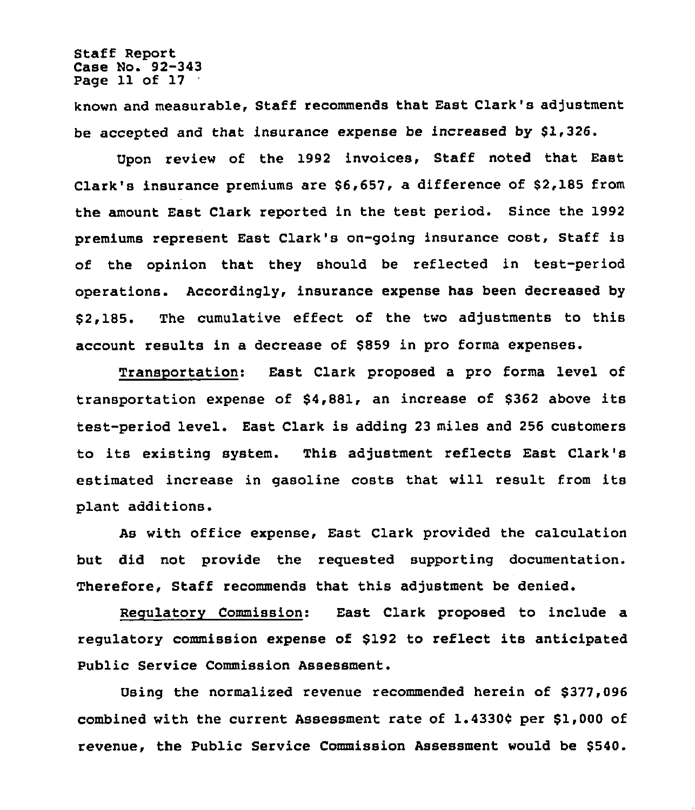Staff Report Case No. 92-343 Page 11 of 17

known and measurable, Staff recommends that East Clark's adjustment be accepted and that insurance expense be increased by \$1,326.

Upon review of the 1992 invoices, Staff noted that East Clark's insurance premiums are \$6,657, a difference of \$2,185 from the amount East Clark reported in the test period. Since the 1992 premiums represent East Clark's on-going insurance cost, Staff is of the opinion that they should be reflected in test-period operations. Accordingly, insurance expense has been decreased by \$ 2,185. The cumulative effect of the two adjustments to this account results in a decrease of \$859 in pro forms expenses.

Transportation: East Clark proposed a pro forms level of transportation expense of \$4,881, an increase of \$362 above its test-period level. East Clark is adding 23 miles and 256 customers to its existing system. This adjustment reflects East Clark's estimated increase in gasoline costs that will result from its plant additions.

As with office expense, East Clark provided the calculation but did not provide the reguested supporting documentation. Therefore, Staff recommends that this adjustment be denied.

Regulatory Commission: East Clark proposed to include a regulatory commission expense of \$192 to reflect its anticipated Public Service Commission Assessment.

Using the normalized revenue recommended herein of \$377,096 combined with the current Assessment rate of 1.43304 per \$1,000 of revenue, the Public Service Commission Assessment would be \$540.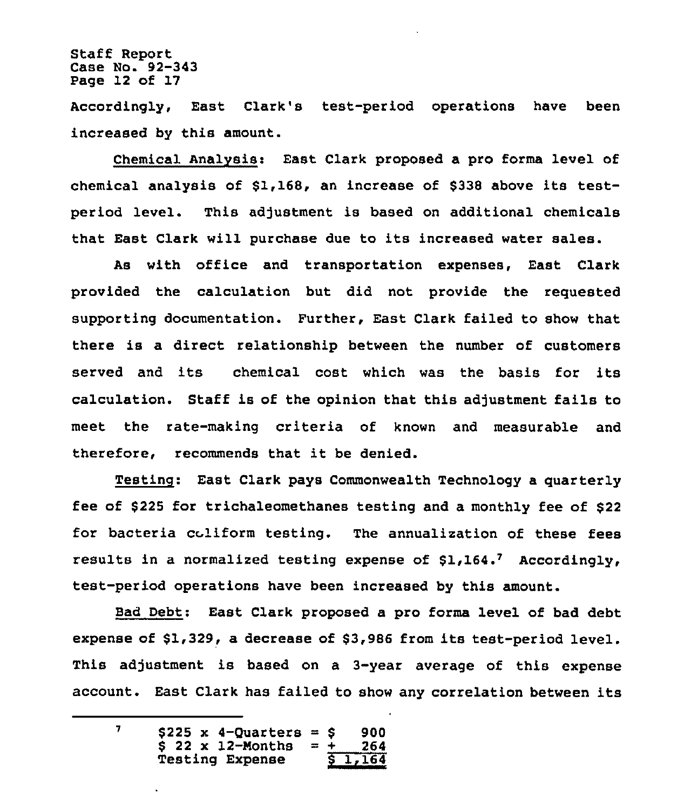Staff Report Case Ho. 92-343 Page 12 of 17

Accordingly, East Clark's test-period operations have been increased by this amount.

Chemical Analysis: East Clark proposed a pro forma level of chemical analysis of \$1,168, an increase of \$<sup>338</sup> above its testperiod level. This adjustment is based on additional chemicals that East Clark will purchase due to its increased water sales.

As with office and transportation expenses, East Clark provided the calculation but did not provide the requested supporting documentation. Further, East Clark failed to show that there is a direct relationship between the number of customers served and its chemical cost which was the basis for its calculation. Staff is of the opinion that this adjustment fails to meet the rate-making criteria of known and measurable and therefore, recommends that it be denied.

Testinq: East Clark pays Commonwealth Technology a quarterly fee of \$225 for trichaleomethanes testing and a monthly fee of \$ <sup>22</sup> for bacteria coliform testing. The annualization of these fees results in a normalized testing expense of  $$1,164$ , Accordingly, test-period operations have been increased by this amount.

Bad Debt: East Clark proposed a pro forma level of bad debt expense of \$1,329, a decrease of \$3,986 from its test-period level. This adjustment is based on a 3-year average of this expense account. East Clark has failed to show any correlation between its

 $\overline{7}$ \$225 x 4-Quarters = \$ 900<br>\$ 22 x 12-Months = + 264  $$ 22 \times 12$-Monthly = + 264 \nTesting **Expense**$   $$ 1,164$ Testing Expense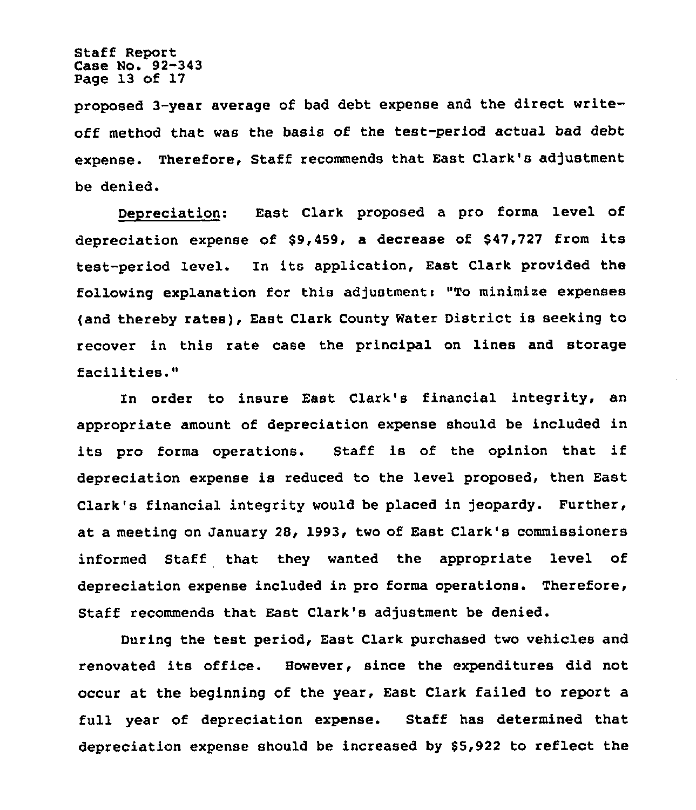Staff Report Case No. 92-343 Page 13 of 17

proposed 3-year average of bad debt expense and the direct writeoff method that was the basis of the test-period actual bad debt expense, Therefore, Staff recommends that East Clark's adjustment be denied.

Denreciation: East Clark proposed a pro forma level of depreciation expense of \$9,459, <sup>a</sup> decrease of \$47,727 from its test-period level. In its application, East Clark provided the following explanation for this adjustment: "To minimize expenses (and thereby rates), East Clark County Water District is seeking to recover in this rate case the principal on lines and storage facilities."

In order to insure East Clark's financial integrity, an appropriate amount of depreciation expense should be included in its pro forms operations. Staff is of the opinion that if depreciation expense is reduced to the level proposed, then East Clark's financial integrity would be placed in jeopardy. Further, at a meeting on January 28, 1993, two of East Clark's commissioners informed Staff that they wanted the appropriate level of depreciation expense included in pro forms operations. Therefore, Staff recommends that East Clark's adjustment be denied.

During the test period, East Clark purchased two vehicles and renovated its office. However, since the expenditures did not occur at the beginning of the year, East Clark failed to report a full year of depreciation expense. Staff has determined that depreciation expense should be increased by \$5,922 to reflect the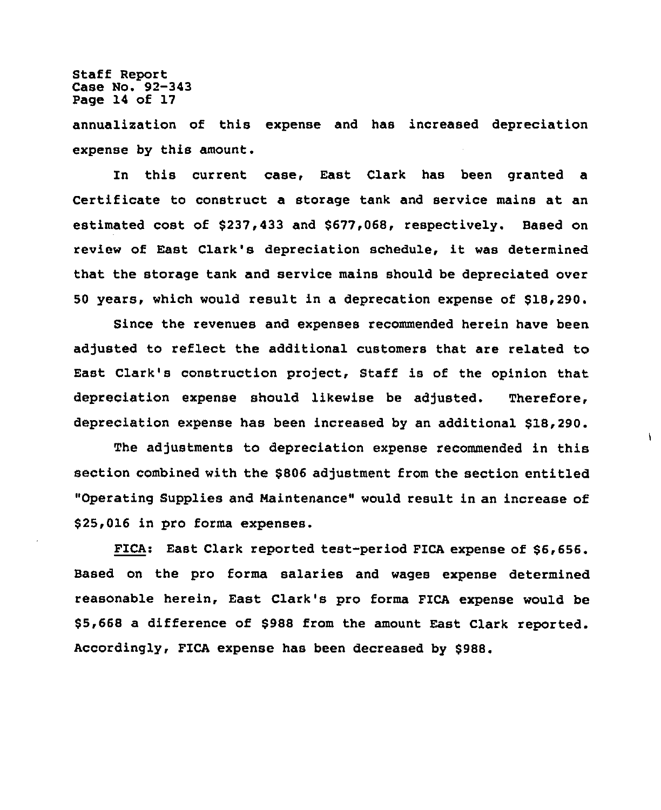Staff Report Case No. 92-343 Page 14 of 17

annualization of this expense and has increased depreciation expense by this amount.

In this current case, East Clark has been granted a Certificate to construct a storage tank and service mains at an estimated cost of \$237,433 and \$677,068, respectively. Based on review of East Clark's depreciation schedule, it was determined that the storage tank and service mains should be depreciated over 50 years, which would result in a deprecation expense of \$18,290.

Since the revenues and expenses recommended herein have been adjusted to reflect the additional customers that are related to East Clark's construction project, Staff is of the opinion that depreciation expense should likewise be adjusted. Therefore, depreciation expense has been increased by an additional \$18,290.

The adjustments to depreciation expense recommended in this section combined with the \$806 adjustment from the section entitled "Operating Supplies and Maintenance" would result in an increase of \$25,016 in pro forma expenses.

¥

FICA: East Clark reported test-period FICA expense of \$6,656. Based on the pro forms salaries and wages expense determined reasonable herein, East Clark's pro forms FICA expense would be \$5,668 a difference of \$988 from the amount East Clark reported. Accordingly, FICA expense has been decreased by \$988.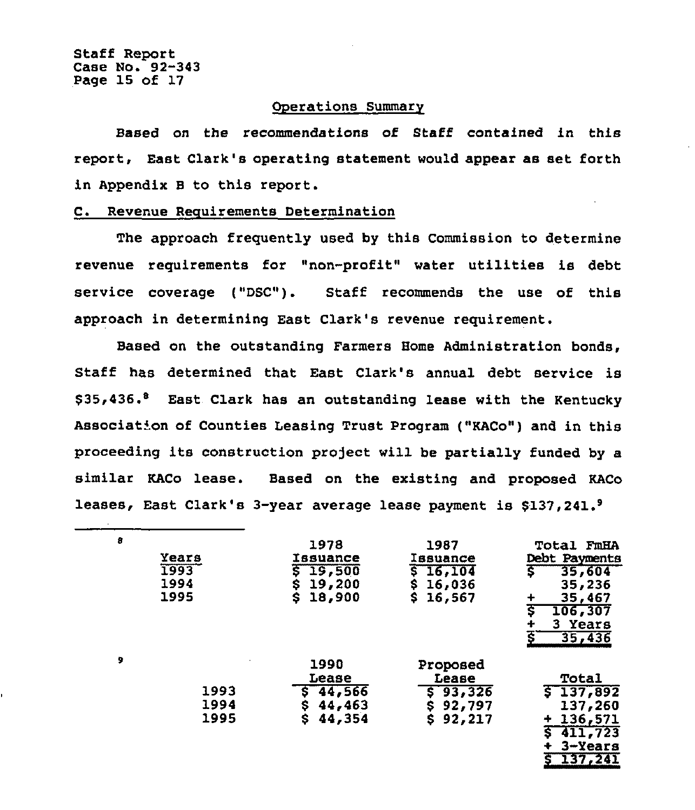Staff Report Case No. 92-343 Page 15 of 17

## Operations Summary

Based on the recommendations of Staff contained in this report, East Clark's operating statement would appear as set forth in Appendix <sup>B</sup> to this report.

## C. Revenue Requirements Determination

The approach frequently used by this Commission to determine revenue requirements for "non-profit" water utilities is debt service coverage ("DSC"). Staff recommends the use of this approach in determining East Clark's revenue requirement.

Based on the outstanding Farmers Home Administration bonds, Staff has determined that East Clark's annual debt service is \$35,436.<sup>8</sup> East Clark has an outstanding lease with the Kentucky Associat'on of Counties Leasing Trust Program {"KACo") and in this proceeding its construction project will be partially funded by a similar KACo lease. Based on the existing and proposed KACo leases, East Clark's 3-year average lease payment is \$137,241.<sup>9</sup>

| 8 | Years<br>1993<br>1994<br>1995 | 1978<br>Issuance<br>19,500<br>19,200<br>Ş<br>18,900<br>s | 1987<br><b>Issuance</b><br>16,104<br>16,036<br>Ş<br>s.<br>16,567  | <b>Total FmHA</b><br>Debt Payments<br>$\overline{\mathsf{s}}$<br>35,604<br>35,236<br>35,467<br>ड<br>106,307<br>3 Years<br>∔<br>ξ<br>35,436 |
|---|-------------------------------|----------------------------------------------------------|-------------------------------------------------------------------|--------------------------------------------------------------------------------------------------------------------------------------------|
| 9 | 1993<br>1994<br>1995          | 1990<br>Lease<br>44,566<br>44,463<br>Ş<br>44,354<br>\$   | Proposed<br>Lease<br>93,326<br>\$<br>\$<br>92,797<br>\$<br>92,217 | Total<br>\$137,892<br>137,260<br>136,571<br>۰<br>411,723<br>s<br>$3 - Years$<br>137,241                                                    |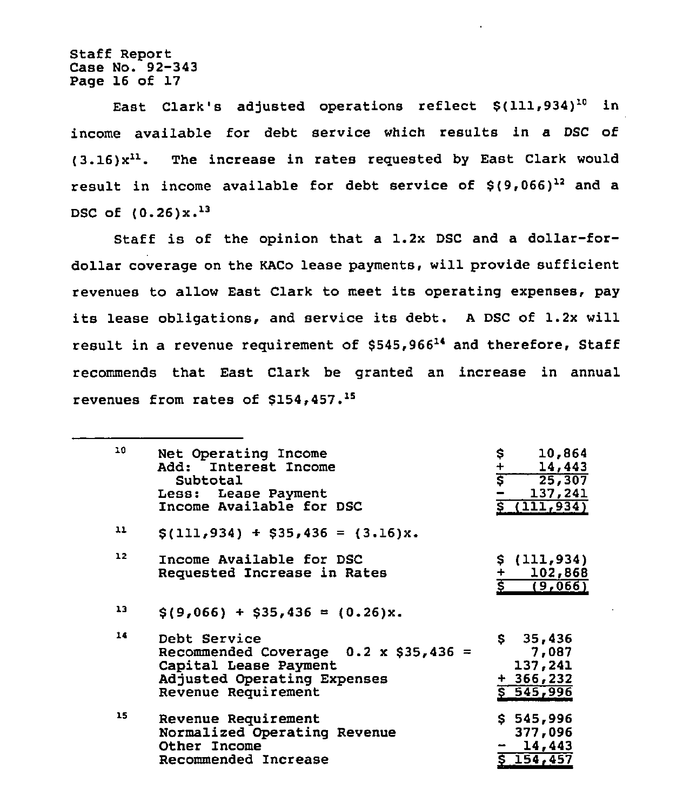Staff Report Case No. 92-343 Page 16 of 17

East Clark's adjusted operations reflect  $$(111,934)^{10}$  in income available for debt service which results in a DSC of  $(3.16)x^{11}$ . The increase in rates requested by East Clark would result in income available for debt service of  $$(9,066)^{12}$$  and a DSC of  $(0.26)x.^{13}$ 

Staff is of the opinion that a 1.2x DSC and a dollar-fordollar coverage on the KACo lease payments, will provide sufficient revenues to allow East Clark to meet its operating expenses, pay its lease obligations, and service its debt. <sup>A</sup> DSC of 1.2x will result in a revenue requirement of \$545,96614 and therefore, Staff recommends that East Clark be granted an increase in annual revenues from rates of \$154,457.<sup>15</sup>

| 10 | Net Operating Income<br>Add: Interest Income<br>Subtotal<br>Less: Lease Payment<br>Income Available for DSC                                 | $\frac{\sqrt{2}}{\sqrt{2}}$<br>10,864<br>14,443<br>25, 307<br>137,241<br>s.<br>(111, 934) |
|----|---------------------------------------------------------------------------------------------------------------------------------------------|-------------------------------------------------------------------------------------------|
| 11 | $\{(111, 934) + $35, 436 = (3.16)x.\}$                                                                                                      |                                                                                           |
| 12 | Income Available for DSC<br>Requested Increase in Rates                                                                                     | \$(111, 934)<br>102,868<br>(9,066)                                                        |
| 13 | $\$(9,066) + $35,436 = (0.26)x.$                                                                                                            |                                                                                           |
| 14 | Debt Service<br>Recommended Coverage $0.2 \times$ \$35,436 =<br>Capital Lease Payment<br>Adjusted Operating Expenses<br>Revenue Requirement | \$35,436<br>7,087<br>137,241<br>$+366,232$<br>5.545,996                                   |
| 15 | Revenue Requirement<br>Normalized Operating Revenue<br>Other Income<br>Recommended Increase                                                 | \$545,996<br>377,096<br>14,443<br>\$154,457                                               |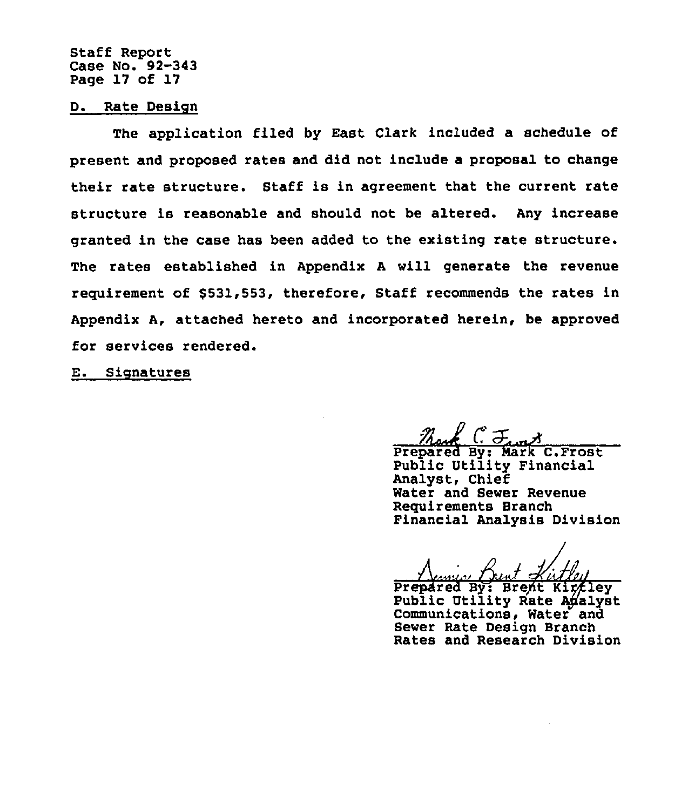Staff Report Case No. 92-343 Page 17 of 17

#### D. Rate Design

The application filed by East Clark included a schedule of present and proposed rates and did not include a proposal to change their rate structure. Staff is in agreement that the current rate structure is reasonable and should not be altered. Any increase granted in the case has been added to the existing rate structure. The rates established in Appendix <sup>A</sup> will generate the revenue requirement of \$531,553, therefore, Staff recommends the rates in Appendix A, attached hereto and incorporated herein, be approved for services rendered.

E. Signatures

Prepared By: Mark C.Frost Public Utility Financial Analyst, Chief Water and Sewer Revenue Requirements Branch Financial Analysis Division

Prepared By: Brent Kirtley Public Utility Rate Adalyst<br>Communications, Water and Sewer Rate Design Branch Rates and Research Division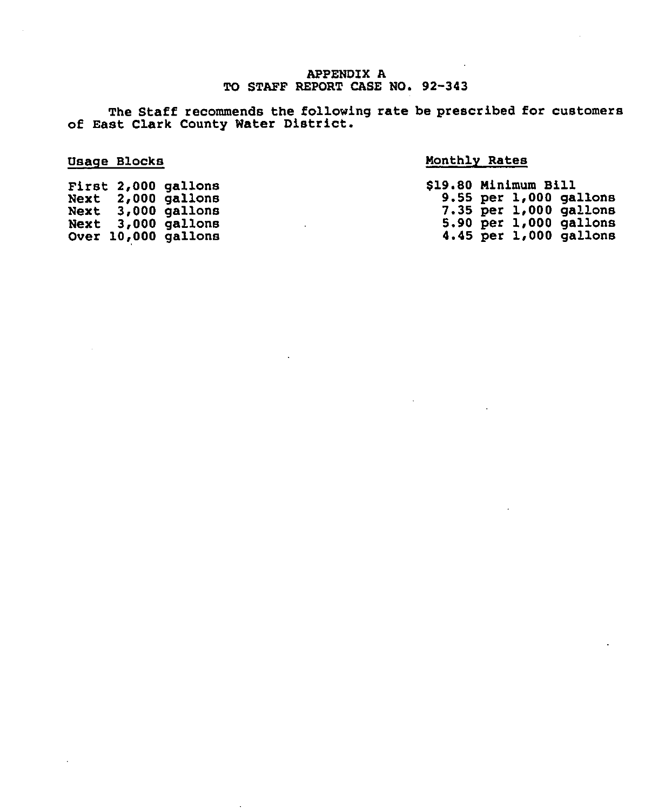## APPENDIX A TO STAFF REPORT CASE NO. 92-343

The Staff recommends the following rate be prescribed for customer of East Clark County Water District.

# Usage Blocks

# Monthly Rates

|  | First 2,000 gallons | \$19.80 Minimum Bill |  |                            |
|--|---------------------|----------------------|--|----------------------------|
|  | Next 2,000 gallons  |                      |  | $9.55$ per $1,000$ gallons |
|  | Next 3,000 gallons  |                      |  | $7.35$ per $1,000$ gallons |
|  | Next 3,000 gallons  |                      |  | $5.90$ per $1,000$ gallons |
|  | Over 10,000 gallons |                      |  | 4.45 per $1,000$ gallons   |